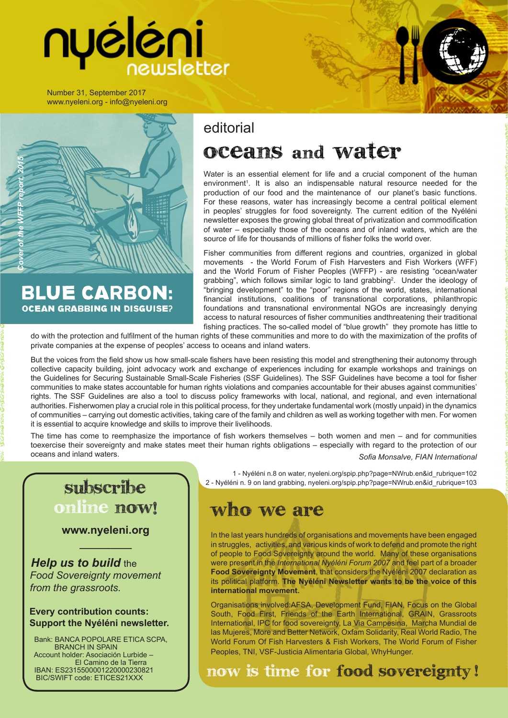# nyéléni

Number 31, September 2017 www.nyeleni.org - info@nyeleni.org

# *Cover of the WFFP report, 2015*

**BLUE CARBON: OCEAN GRABBING IN DISGUISE?** 

# editorial

# Oceans and Water

Water is an essential element for life and a crucial component of the human environment<sup>1</sup>. It is also an indispensable natural resource needed for the production of our food and the maintenance of our planet's basic functions. For these reasons, water has increasingly become a central political element in peoples' struggles for food sovereignty. The current edition of the Nyéléni newsletter exposes the growing global threat of privatization and commodification of water – especially those of the oceans and of inland waters, which are the source of life for thousands of millions of fisher folks the world over.

Fisher communities from different regions and countries, organized in global movements - the World Forum of Fish Harvesters and Fish Workers (WFF) and the World Forum of Fisher Peoples (WFFP) - are resisting "ocean/water grabbing", which follows similar logic to land grabbing<sup>2</sup>. Under the ideology of "bringing development" to the "poor" regions of the world, states, international financial institutions, coalitions of transnational corporations, philanthropic foundations and transnational environmental NGOs are increasingly denying access to natural resources of fisher communities andthreatening their traditional fishing practices. The so-called model of "blue growth" they promote has little to

do with the protection and fulfilment of the human rights of these communities and more to do with the maximization of the profits of private companies at the expense of peoples' access to oceans and inland waters.

But the voices from the field show us how small-scale fishers have been resisting this model and strengthening their autonomy through collective capacity building, joint advocacy work and exchange of experiences including for example workshops and trainings on the Guidelines for Securing Sustainable Small-Scale Fisheries (SSF Guidelines). The SSF Guidelines have become a tool for fisher communities to make states accountable for human rights violations and companies accountable for their abuses against communities' rights. The SSF Guidelines are also a tool to discuss policy frameworks with local, national, and regional, and even international authorities. Fisherwomen play a crucial role in this political process, for they undertake fundamental work (mostly unpaid) in the dynamics of communities – carrying out domestic activities, taking care of the family and children as well as working together with men. For women it is essential to acquire knowledge and skills to improve their livelihoods.

The time has come to reemphasize the importance of fish workers themselves – both women and men – and for communities toexercise their sovereignty and make states meet their human rights obligations – especially with regard to the protection of our oceans and inland waters. *Sofia Monsalve, FIAN International*

# subscribe online now!

**www.nyeleni.org \_\_\_\_\_\_\_\_\_\_**

*Help us to build the Food Sovereignty movement from the grassroots.*

### **Every contribution counts: Support the Nyéléni newsletter.**

 Bank: BANCA POPOLARE ETICA SCPA, BRANCH IN SPAIN Account holder: Asociación Lurbide – El Camino de la Tierra IBAN: ES2315500001220000230821 BIC/SWIFT code: ETICES21XXX

 1 - Nyéléni n.8 on water, nyeleni.org/spip.php?page=NWrub.en&id\_rubrique=102 2 - Nyéléni n. 9 on land grabbing, nyeleni.org/spip.php?page=NWrub.en&id\_rubrique=103

# Who we are

In the last years hundreds of organisations and movements have been engaged in struggles, activities, and various kinds of work to defend and promote the right of people to Food Sovereignty around the world. Many of these organisations were present in the *International Nyéléni Forum 2007* and feel part of a broader **Food Sovereignty Movement**, that considers the Nyéléni 2007 declaration as its political platform. **The Nyéléni Newsletter wants to be the voice of this international movement.**

Organisations involved:AFSA, Development Fund, FIAN, Focus on the Global South, Food First, Friends of the Earth International, GRAIN, Grassroots International, IPC for food sovereignty, La Via Campesina, Marcha Mundial de las Mujeres, More and Better Network, Oxfam Solidarity, Real World Radio, The World Forum Of Fish Harvesters & Fish Workers, The World Forum of Fisher Peoples, TNI, VSF-Justicia Alimentaria Global, WhyHunger.

now is time for food sovereignty !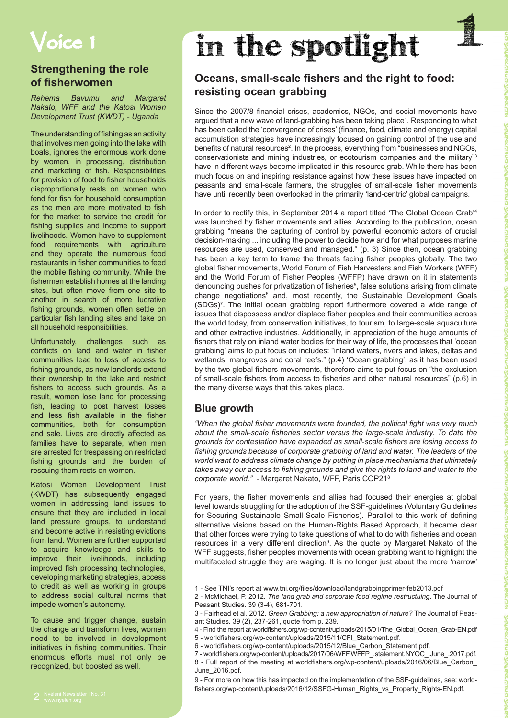# Voice 1

# **Strengthening the role of fisherwomen**

*Rehema Bavumu and Margaret Nakato, WFF and the Katosi Women Development Trust (KWDT) - Uganda*

The understanding of fishing as an activity that involves men going into the lake with boats, ignores the enormous work done by women, in processing, distribution and marketing of fish. Responsibilities for provision of food to fisher households disproportionally rests on women who fend for fish for household consumption as the men are more motivated to fish for the market to service the credit for fishing supplies and income to support livelihoods. Women have to supplement food requirements with agriculture and they operate the numerous food restaurants in fisher communities to feed the mobile fishing community. While the fishermen establish homes at the landing sites, but often move from one site to another in search of more lucrative fishing grounds, women often settle on particular fish landing sites and take on all household responsibilities.

Unfortunately, challenges such as conflicts on land and water in fisher communities lead to loss of access to fishing grounds, as new landlords extend their ownership to the lake and restrict fishers to access such grounds. As a result, women lose land for processing fish, leading to post harvest losses and less fish available in the fisher communities, both for consumption and sale. Lives are directly affected as families have to separate, when men are arrested for trespassing on restricted fishing grounds and the burden of rescuing them rests on women.

Katosi Women Development Trust (KWDT) has subsequently engaged women in addressing land issues to ensure that they are included in local land pressure groups, to understand and become active in resisting evictions from land. Women are further supported to acquire knowledge and skills to improve their livelihoods, including improved fish processing technologies, developing marketing strategies, access to credit as well as working in groups to address social cultural norms that impede women's autonomy.

To cause and trigger change, sustain the change and transform lives, women need to be involved in development initiatives in fishing communities. Their enormous efforts must not only be recognized, but boosted as well.

# in the spotlight

# **Oceans, small-scale fishers and the right to food: resisting ocean grabbing**

Since the 2007/8 financial crises, academics, NGOs, and social movements have argued that a new wave of land-grabbing has been taking place<sup>1</sup>. Responding to what has been called the 'convergence of crises' (finance, food, climate and energy) capital accumulation strategies have increasingly focused on gaining control of the use and benefits of natural resources<sup>2</sup>. In the process, everything from "businesses and NGOs, conservationists and mining industries, or ecotourism companies and the military"3 have in different ways become implicated in this resource grab. While there has been much focus on and inspiring resistance against how these issues have impacted on peasants and small-scale farmers, the struggles of small-scale fisher movements have until recently been overlooked in the primarily 'land-centric' global campaigns.

In order to rectify this, in September 2014 a report titled 'The Global Ocean Grab'<sup>4</sup> was launched by fisher movements and allies. According to the publication, ocean grabbing "means the capturing of control by powerful economic actors of crucial decision-making ... including the power to decide how and for what purposes marine resources are used, conserved and managed." (p. 3) Since then, ocean grabbing has been a key term to frame the threats facing fisher peoples globally. The two global fisher movements, World Forum of Fish Harvesters and Fish Workers (WFF) and the World Forum of Fisher Peoples (WFFP) have drawn on it in statements denouncing pushes for privatization of fisheries<sup>5</sup>, false solutions arising from climate change negotiations<sup>6</sup> and, most recently, the Sustainable Development Goals (SDGs)<sup>7</sup> . The initial ocean grabbing report furthermore covered a wide range of issues that dispossess and/or displace fisher peoples and their communities across the world today, from conservation initiatives, to tourism, to large-scale aquaculture and other extractive industries. Additionally, in appreciation of the huge amounts of fishers that rely on inland water bodies for their way of life, the processes that 'ocean grabbing' aims to put focus on includes: "inland waters, rivers and lakes, deltas and wetlands, mangroves and coral reefs." (p.4) 'Ocean grabbing', as it has been used by the two global fishers movements, therefore aims to put focus on "the exclusion of small-scale fishers from access to fisheries and other natural resources" (p.6) in the many diverse ways that this takes place.

### **Blue growth**

*"When the global fisher movements were founded, the political fight was very much about the small-scale fisheries sector versus the large-scale industry. To date the grounds for contestation have expanded as small-scale fishers are losing access to fishing grounds because of corporate grabbing of land and water. The leaders of the world want to address climate change by putting in place mechanisms that ultimately takes away our access to fishing grounds and give the rights to land and water to the corporate world."* - Margaret Nakato, WFF, Paris COP21<sup>8</sup>

For years, the fisher movements and allies had focused their energies at global level towards struggling for the adoption of the SSF-guidelines (Voluntary Guidelines for Securing Sustainable Small-Scale Fisheries). Parallel to this work of defining alternative visions based on the Human-Rights Based Approach, it became clear that other forces were trying to take questions of what to do with fisheries and ocean resources in a very different direction<sup>9</sup>. As the quote by Margaret Nakato of the WFF suggests, fisher peoples movements with ocean grabbing want to highlight the multifaceted struggle they are waging. It is no longer just about the more 'narrow'

- 5 worldfishers.org/wp-content/uploads/2015/11/CFI\_Statement.pdf.
- 6 worldfishers.org/wp-content/uploads/2015/12/Blue\_Carbon\_Statement.pdf.

9 - For more on how this has impacted on the implementation of the SSF-guidelines, see: worldfishers.org/wp-content/uploads/2016/12/SSFG-Human\_Rights\_vs\_Property\_Rights-EN.pdf.

<sup>1 -</sup> See TNI's report at www.tni.org/files/download/landgrabbingprimer-feb2013.pdf

<sup>2 -</sup> McMichael, P. 2012. *The land grab and corporate food regime restructuing*. The Journal of Peasant Studies. 39 (3-4), 681-701.

<sup>3 -</sup> Fairhead et al. 2012. *Green Grabbing: a new appropriation of nature?* The Journal of Peasant Studies. 39 (2), 237-261, quote from p. 239.

<sup>4 -</sup> Find the report at worldfishers.org/wp-content/uploads/2015/01/The\_Global\_Ocean\_Grab-EN.pdf

<sup>7 -</sup> worldfishers.org/wp-content/uploads/2017/06/WFF.WFFP\_.statement.NYOC\_.June\_.2017.pdf. 8 - Full report of the meeting at worldfishers.org/wp-content/uploads/2016/06/Blue\_Carbon\_ June\_2016.pdf.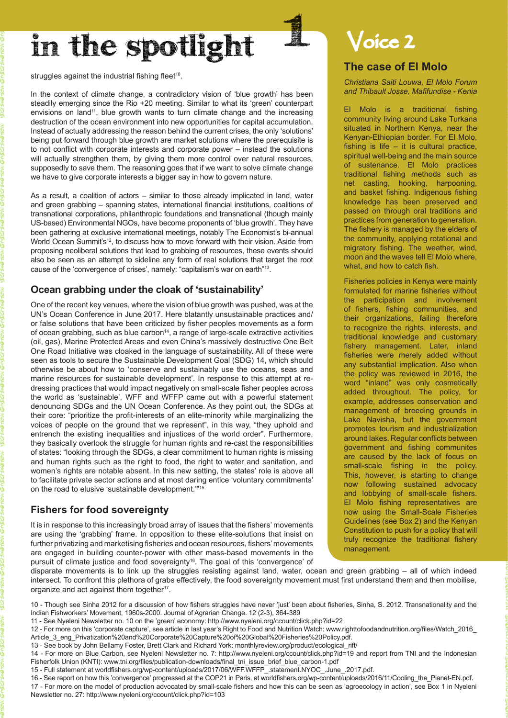# in the spotlight

struggles against the industrial fishing fleet<sup>10</sup>.

In the context of climate change, a contradictory vision of 'blue growth' has been steadily emerging since the Rio +20 meeting. Similar to what its 'green' counterpart envisions on land<sup>11</sup>, blue growth wants to turn climate change and the increasing destruction of the ocean environment into new opportunities for capital accumulation. Instead of actually addressing the reason behind the current crises, the only 'solutions' being put forward through blue growth are market solutions where the prerequisite is to not conflict with corporate interests and corporate power – instead the solutions will actually strengthen them, by giving them more control over natural resources, supposedly to save them. The reasoning goes that if we want to solve climate change we have to give corporate interests a bigger say in how to govern nature.

As a result, a coalition of actors – similar to those already implicated in land, water and green grabbing – spanning states, international financial institutions, coalitions of transnational corporations, philanthropic foundations and transnational (though mainly US-based) Environmental NGOs, have become proponents of 'blue growth'. They have been gathering at exclusive international meetings, notably The Economist's bi-annual World Ocean Summit's<sup>12</sup>, to discuss how to move forward with their vision. Aside from proposing neoliberal solutions that lead to grabbing of resources, these events should also be seen as an attempt to sideline any form of real solutions that target the root cause of the 'convergence of crises', namely: "capitalism's war on earth"13.

### **Ocean grabbing under the cloak of 'sustainability'**

One of the recent key venues, where the vision of blue growth was pushed, was at the UN's Ocean Conference in June 2017. Here blatantly unsustainable practices and/ or false solutions that have been criticized by fisher peoples movements as a form of ocean grabbing, such as blue carbon<sup>14</sup>, a range of large-scale extractive activities (oil, gas), Marine Protected Areas and even China's massively destructive One Belt One Road Initiative was cloaked in the language of sustainability. All of these were seen as tools to secure the Sustainable Development Goal (SDG) 14, which should otherwise be about how to 'conserve and sustainably use the oceans, seas and marine resources for sustainable development'. In response to this attempt at redressing practices that would impact negatively on small-scale fisher peoples across the world as 'sustainable', WFF and WFFP came out with a powerful statement denouncing SDGs and the UN Ocean Conference. As they point out, the SDGs at their core: "prioritize the profit-interests of an elite-minority while marginalizing the voices of people on the ground that we represent", in this way, "they uphold and entrench the existing inequalities and injustices of the world order". Furthermore, they basically overlook the struggle for human rights and re-cast the responsibilities of states: "looking through the SDGs, a clear commitment to human rights is missing and human rights such as the right to food, the right to water and sanitation, and women's rights are notable absent. In this new setting, the states' role is above all to facilitate private sector actions and at most daring entice 'voluntary commitments' on the road to elusive 'sustainable development."<sup>15</sup>

### **Fishers for food sovereignty**

It is in response to this increasingly broad array of issues that the fishers' movements are using the 'grabbing' frame. In opposition to these elite-solutions that insist on further privatizing and marketising fisheries and ocean resources, fishers' movements are engaged in building counter-power with other mass-based movements in the pursuit of climate justice and food sovereignty<sup>16</sup>. The goal of this 'convergence' of

# Voice 2

### **The case of El Molo**

*Christiana Saiti Louwa, El Molo Forum and Thibault Josse, Mafifundise - Kenia*

El Molo is a traditional fishing community living around Lake Turkana situated in Northern Kenya, near the Kenyan-Ethiopian border. For El Molo, fishing is life – it is cultural practice, spiritual well-being and the main source of sustenance. El Molo practices traditional fishing methods such as net casting, hooking, harpooning, and basket fishing. Indigenous fishing knowledge has been preserved and passed on through oral traditions and practices from generation to generation. The fishery is managed by the elders of the community, applying rotational and migratory fishing. The weather, wind, moon and the waves tell El Molo where, what, and how to catch fish.

Fisheries policies in Kenya were mainly formulated for marine fisheries without the participation and involvement of fishers, fishing communities, and their organizations, failing therefore to recognize the rights, interests, and traditional knowledge and customary fishery management. Later, inland fisheries were merely added without any substantial implication. Also when the policy was reviewed in 2016, the word "inland" was only cosmetically added throughout. The policy, for example, addresses conservation and management of breeding grounds in Lake Navisha, but the government promotes tourism and industrialization around lakes. Regular conflicts between government and fishing communites are caused by the lack of focus on small-scale fishing in the policy. This, however, is starting to change now following sustained advocacy and lobbying of small-scale fishers. El Molo fishing representatives are now using the Small-Scale Fisheries Guidelines (see Box 2) and the Kenyan Constitution to push for a policy that will truly recognize the traditional fishery management.

disparate movements is to link up the struggles resisting against land, water, ocean and green grabbing – all of which indeed intersect. To confront this plethora of grabs effectively, the food sovereignty movement must first understand them and then mobilise, organize and act against them together<sup>17</sup>.

10 - Though see Sinha 2012 for a discussion of how fishers struggles have never 'just' been about fisheries, Sinha, S. 2012. Transnationality and the Indian Fishworkers' Movement, 1960s-2000. Journal of Agrarian Change. 12 (2-3), 364-389

11 - See Nyeleni Newsletter no. 10 on the 'green' economy: http://www.nyeleni.org/ccount/click.php?id=22

12 - For more on this 'corporate capture', see article in last year's Right to Food and Nutrition Watch: www.righttofoodandnutrition.org/files/Watch\_2016\_ Article\_3\_eng\_Privatization%20and%20Corporate%20Capture%20of%20Global%20Fisheries%20Policy.pdf.

13 - See book by John Bellamy Foster, Brett Clark and Richard York: monthlyreview.org/product/ecological\_rift/

14 - For more on Blue Carbon, see Nyeleni Newsletter no. 7: http://www.nyeleni.org/ccount/click.php?id=19 and report from TNI and the Indonesian Fisherfolk Union (KNTI): www.tni.org/files/publication-downloads/final\_tni\_issue\_brief\_blue\_carbon-1.pdf

15 - Full statement at worldfishers.org/wp-content/uploads/2017/06/WFF.WFFP\_.statement.NYOC\_.June\_.2017.pdf.

16 - See report on how this 'convergence' progressed at the COP21 in Paris, at worldfishers.org/wp-content/uploads/2016/11/Cooling\_the\_Planet-EN.pdf.

17 - For more on the model of production advocated by small-scale fishers and how this can be seen as 'agroecology in action', see Box 1 in Nyeleni<br>Newsletter no. 27: http://www.nyeleni.org/ccount/click.php?id=103 Newsletter no. 27: http://www.nyeleni.org/ccount/click.php?id=103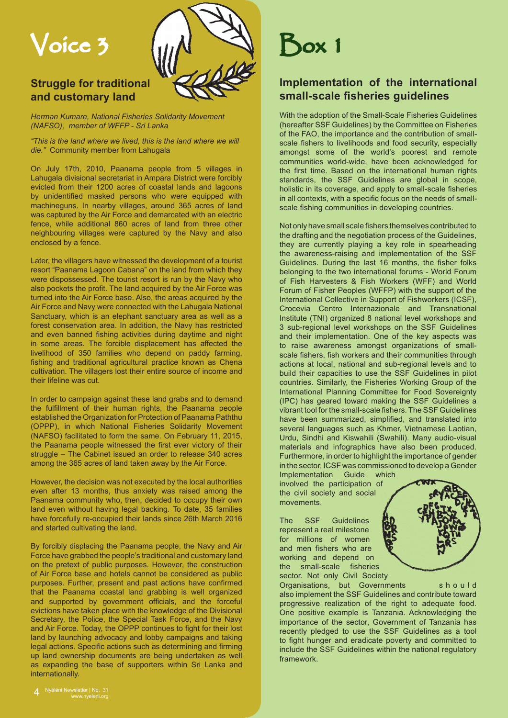

# **Struggle for traditional and customary land**

*Herman Kumare, National Fisheries Solidarity Movement (NAFSO), member of WFFP - Sri Lanka*

*"This is the land where we lived, this is the land where we will die."* Community member from Lahugala

On July 17th, 2010, Paanama people from 5 villages in Lahugala divisional secretariat in Ampara District were forcibly evicted from their 1200 acres of coastal lands and lagoons by unidentified masked persons who were equipped with machineguns. In nearby villages, around 365 acres of land was captured by the Air Force and demarcated with an electric fence, while additional 860 acres of land from three other neighbouring villages were captured by the Navy and also enclosed by a fence.

Later, the villagers have witnessed the development of a tourist resort "Paanama Lagoon Cabana" on the land from which they were dispossessed. The tourist resort is run by the Navy who also pockets the profit. The land acquired by the Air Force was turned into the Air Force base. Also, the areas acquired by the Air Force and Navy were connected with the Lahugala National Sanctuary, which is an elephant sanctuary area as well as a forest conservation area. In addition, the Navy has restricted and even banned fishing activities during daytime and night in some areas. The forcible displacement has affected the livelihood of 350 families who depend on paddy farming, fishing and traditional agricultural practice known as Chena cultivation. The villagers lost their entire source of income and their lifeline was cut.

In order to campaign against these land grabs and to demand the fulfillment of their human rights, the Paanama people established the Organization for Protection of Paanama Paththu (OPPP), in which National Fisheries Solidarity Movement (NAFSO) facilitated to form the same. On February 11, 2015, the Paanama people witnessed the first ever victory of their struggle – The Cabinet issued an order to release 340 acres among the 365 acres of land taken away by the Air Force.

However, the decision was not executed by the local authorities even after 13 months, thus anxiety was raised among the Paanama community who, then, decided to occupy their own land even without having legal backing. To date, 35 families have forcefully re-occupied their lands since 26th March 2016 and started cultivating the land.

By forcibly displacing the Paanama people, the Navy and Air Force have grabbed the people's traditional and customary land on the pretext of public purposes. However, the construction of Air Force base and hotels cannot be considered as public purposes. Further, present and past actions have confirmed that the Paanama coastal land grabbing is well organized and supported by government officials, and the forceful evictions have taken place with the knowledge of the Divisional Secretary, the Police, the Special Task Force, and the Navy and Air Force. Today, the OPPP continues to fight for their lost land by launching advocacy and lobby campaigns and taking legal actions. Specific actions such as determining and firming up land ownership documents are being undertaken as well as expanding the base of supporters within Sri Lanka and internationally.

# **Implementation of the international small-scale fisheries guidelines**

With the adoption of the Small-Scale Fisheries Guidelines (hereafter SSF Guidelines) by the Committee on Fisheries of the FAO, the importance and the contribution of smallscale fishers to livelihoods and food security, especially amongst some of the world's poorest and remote communities world-wide, have been acknowledged for the first time. Based on the international human rights standards, the SSF Guidelines are global in scope, holistic in its coverage, and apply to small-scale fisheries in all contexts, with a specific focus on the needs of smallscale fishing communities in developing countries.

Not only have small scale fishers themselves contributed to the drafting and the negotiation process of the Guidelines, they are currently playing a key role in spearheading the awareness-raising and implementation of the SSF Guidelines. During the last 16 months, the fisher folks belonging to the two international forums - World Forum of Fish Harvesters & Fish Workers (WFF) and World Forum of Fisher Peoples (WFFP) with the support of the International Collective in Support of Fishworkers (ICSF), Crocevia Centro Internazionale and Transnational Institute (TNI) organized 8 national level workshops and 3 sub-regional level workshops on the SSF Guidelines and their implementation. One of the key aspects was to raise awareness amongst organizations of smallscale fishers, fish workers and their communities through actions at local, national and sub-regional levels and to build their capacities to use the SSF Guidelines in pilot countries. Similarly, the Fisheries Working Group of the International Planning Committee for Food Sovereignty (IPC) has geared toward making the SSF Guidelines a vibrant tool for the small-scale fishers. The SSF Guidelines have been summarized, simplified, and translated into several languages such as Khmer, Vietnamese Laotian, Urdu, Sindhi and Kiswahili (Swahili). Many audio-visual materials and infographics have also been produced. Furthermore, in order to highlight the importance of gender in the sector, ICSF was commissioned to develop a Gender Implementation Guide which

involved the participation of the civil society and social movements.

The SSF Guidelines represent a real milestone for millions of women and men fishers who are working and depend on the small-scale fisheries sector. Not only Civil Society

Organisations, but Governments should also implement the SSF Guidelines and contribute toward progressive realization of the right to adequate food. One positive example is Tanzania. Acknowledging the importance of the sector, Government of Tanzania has recently pledged to use the SSF Guidelines as a tool to fight hunger and eradicate poverty and committed to include the SSF Guidelines within the national regulatory framework.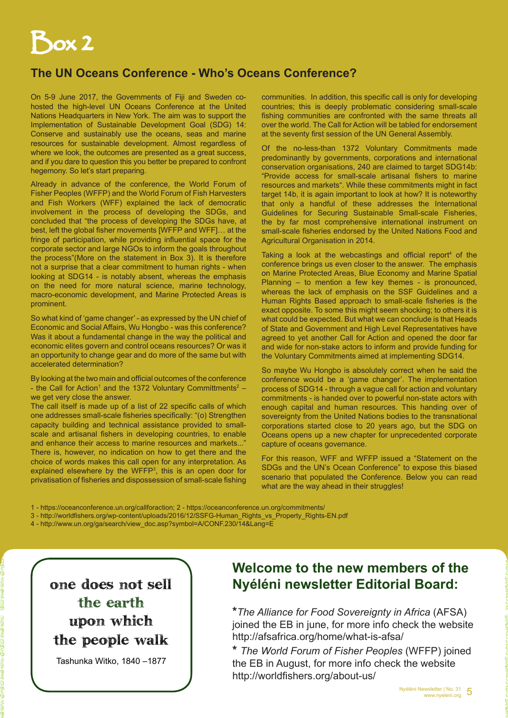# Box 2

# **The UN Oceans Conference - Who's Oceans Conference?**

On 5-9 June 2017, the Governments of Fiji and Sweden cohosted the high-level UN Oceans Conference at the United Nations Headquarters in New York. The aim was to support the Implementation of Sustainable Development Goal (SDG) 14: Conserve and sustainably use the oceans, seas and marine resources for sustainable development. Almost regardless of where we look, the outcomes are presented as a great success, and if you dare to question this you better be prepared to confront hegemony. So let's start preparing.

Already in advance of the conference, the World Forum of Fisher Peoples (WFFP) and the World Forum of Fish Harvesters and Fish Workers (WFF) explained the lack of democratic involvement in the process of developing the SDGs, and concluded that "the process of developing the SDGs have, at best, left the global fisher movements [WFFP and WFF]… at the fringe of participation, while providing influential space for the corporate sector and large NGOs to inform the goals throughout the process"(More on the statement in Box 3). It is therefore not a surprise that a clear commitment to human rights - when looking at SDG14 - is notably absent, whereas the emphasis on the need for more natural science, marine technology, macro-economic development, and Marine Protected Areas is prominent.

So what kind of 'game changer' - as expressed by the UN chief of Economic and Social Affairs, Wu Hongbo - was this conference? Was it about a fundamental change in the way the political and economic elites govern and control oceans resources? Or was it an opportunity to change gear and do more of the same but with accelerated determination?

By looking at the two main and official outcomes of the conference - the Call for Action<sup>1</sup> and the 1372 Voluntary Committments<sup>2</sup> – we get very close the answer.

The call itself is made up of a list of 22 specific calls of which one addresses small-scale fisheries specifically: "(o) Strengthen capacity building and technical assistance provided to smallscale and artisanal fishers in developing countries, to enable and enhance their access to marine resources and markets..." There is, however, no indication on how to get there and the choice of words makes this call open for any interpretation. As explained elsewhere by the WFFP3 , this is an open door for privatisation of fisheries and dispossession of small-scale fishing

communities. In addition, this specific call is only for developing countries; this is deeply problematic considering small-scale fishing communities are confronted with the same threats all over the world. The Call for Action will be tabled for endorsement at the seventy first session of the UN General Assembly.

Of the no-less-than 1372 Voluntary Commitments made predominantly by governments, corporations and international conservation organisations, 240 are claimed to target SDG14b: "Provide access for small-scale artisanal fishers to marine resources and markets". While these commitments might in fact target 14b, it is again important to look at how? It is noteworthy that only a handful of these addresses the International Guidelines for Securing Sustainable Small-scale Fisheries, the by far most comprehensive international instrument on small-scale fisheries endorsed by the United Nations Food and Agricultural Organisation in 2014.

Taking a look at the webcastings and official report<sup>4</sup> of the conference brings us even closer to the answer. The emphasis on Marine Protected Areas, Blue Economy and Marine Spatial Planning – to mention a few key themes - is pronounced, whereas the lack of emphasis on the SSF Guidelines and a Human Rights Based approach to small-scale fisheries is the exact opposite. To some this might seem shocking; to others it is what could be expected. But what we can conclude is that Heads of State and Government and High Level Representatives have agreed to yet another Call for Action and opened the door far and wide for non-stake actors to inform and provide funding for the Voluntary Commitments aimed at implementing SDG14.

So maybe Wu Hongbo is absolutely correct when he said the conference would be a 'game changer'. The implementation process of SDG14 - through a vague call for action and voluntary commitments - is handed over to powerful non-state actors with enough capital and human resources. This handing over of sovereignty from the United Nations bodies to the transnational corporations started close to 20 years ago, but the SDG on Oceans opens up a new chapter for unprecedented corporate capture of oceans governance.

For this reason, WFF and WFFP issued a "Statement on the SDGs and the UN's Ocean Conference" to expose this biased scenario that populated the Conference. Below you can read what are the way ahead in their struggles!

- 1 https://oceanconference.un.org/callforaction; 2 https://oceanconference.un.org/commitments/
- 3 http://worldfishers.org/wp-content/uploads/2016/12/SSFG-Human\_Rights\_vs\_Property\_Rights-EN.pdf
- 4 http://www.un.org/ga/search/view\_doc.asp?symbol=A/CONF.230/14&Lang=E

Tashunka Witko, 1840 –1877

# **Welcome to the new members of the Nyéléni newsletter Editorial Board:**

**\****The Alliance for Food Sovereignty in Africa* (AFSA) ioined the EB in june, for more info check the website http://afsafrica.org/home/what-is-afsa/

**\*** *The World Forum of Fisher Peoples* (WFFP) joined the EB in August, for more info check the website http://worldfishers.org/about-us/